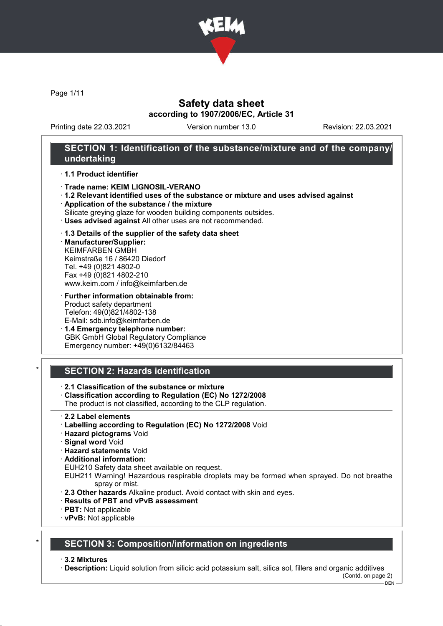

Page 1/11

### Safety data sheet according to 1907/2006/EC, Article 31

Printing date 22.03.2021 Version number 13.0 Revision: 22.03.2021

### SECTION 1: Identification of the substance/mixture and of the company/ undertaking

### · 1.1 Product identifier

- · Trade name: KEIM LIGNOSIL-VERANO
- · 1.2 Relevant identified uses of the substance or mixture and uses advised against
- · Application of the substance / the mixture
- Silicate greying glaze for wooden building components outsides.
- · Uses advised against All other uses are not recommended.

### · 1.3 Details of the supplier of the safety data sheet

· Manufacturer/Supplier: KEIMFARBEN GMBH Keimstraße 16 / 86420 Diedorf Tel. +49 (0)821 4802-0 Fax +49 (0)821 4802-210 www.keim.com / info@keimfarben.de

· Further information obtainable from: Product safety department Telefon: 49(0)821/4802-138 E-Mail: sdb.info@keimfarben.de

· 1.4 Emergency telephone number: GBK GmbH Global Regulatory Compliance Emergency number: +49(0)6132/84463

# **SECTION 2: Hazards identification**

- · 2.1 Classification of the substance or mixture
- · Classification according to Regulation (EC) No 1272/2008
- The product is not classified, according to the CLP regulation.
- · 2.2 Label elements
- · Labelling according to Regulation (EC) No 1272/2008 Void
- · Hazard pictograms Void
- · Signal word Void
- · Hazard statements Void
- · Additional information:
- EUH210 Safety data sheet available on request.
- EUH211 Warning! Hazardous respirable droplets may be formed when sprayed. Do not breathe spray or mist.
- · 2.3 Other hazards Alkaline product. Avoid contact with skin and eyes.
- · Results of PBT and vPvB assessment
- · PBT: Not applicable
- · vPvB: Not applicable

### SECTION 3: Composition/information on ingredients

· 3.2 Mixtures

· Description: Liquid solution from silicic acid potassium salt, silica sol, fillers and organic additives (Contd. on page 2)

DEN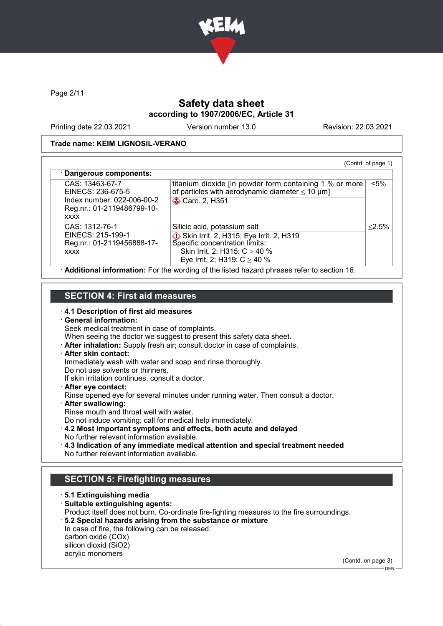

Page 2/11

# Safety data sheet according to 1907/2006/EC, Article 31

Printing date 22.03.2021 Version number 13.0 Revision: 22.03.2021

DEN

### Trade name: KEIM LIGNOSIL-VERANO

| CAS: 13463-67-7<br>EINECS: 236-675-5<br>Index number: 022-006-00-2<br>Reg.nr.: 01-2119486799-10- | titanium dioxide [in powder form containing 1 % or more]<br>of particles with aerodynamic diameter $\leq 10 \ \mu m$ ]<br><b>◆ Carc. 2, H351</b>                                    | $< 5\%$   |
|--------------------------------------------------------------------------------------------------|-------------------------------------------------------------------------------------------------------------------------------------------------------------------------------------|-----------|
| <b>XXXX</b>                                                                                      |                                                                                                                                                                                     |           |
| CAS: 1312-76-1<br>EINECS: 215-199-1<br>Reg.nr.: 01-2119456888-17-<br><b>XXXX</b>                 | Silicic acid, potassium salt<br>Skin Irrit. 2, H315; Eye Irrit. 2, H319<br>Specific concentration limits:<br>Skin Irrit. 2; H315: $C \ge 40 \%$<br>Eye Irrit. 2; H319: $C \ge 40$ % | $< 2.5\%$ |

### SECTION 4: First aid measures

· 4.1 Description of first aid measures

### · General information:

Seek medical treatment in case of complaints.

- When seeing the doctor we suggest to present this safety data sheet.
- · After inhalation: Supply fresh air; consult doctor in case of complaints.

### · After skin contact:

Immediately wash with water and soap and rinse thoroughly.

Do not use solvents or thinners.

If skin irritation continues, consult a doctor.

· After eye contact:

Rinse opened eye for several minutes under running water. Then consult a doctor.

- · After swallowing:
- Rinse mouth and throat well with water.

Do not induce vomiting; call for medical help immediately.

- · 4.2 Most important symptoms and effects, both acute and delayed No further relevant information available.
- · 4.3 Indication of any immediate medical attention and special treatment needed No further relevant information available.

# SECTION 5: Firefighting measures

· 5.1 Extinguishing media · Suitable extinguishing agents: Product itself does not burn. Co-ordinate fire-fighting measures to the fire surroundings. · 5.2 Special hazards arising from the substance or mixture In case of fire, the following can be released: carbon oxide (COx) silicon dioxid (SiO2) acrylic monomers (Contd. on page 3)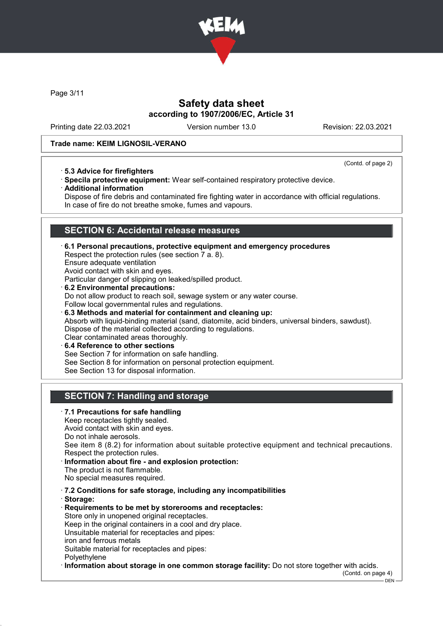

Page 3/11

### Safety data sheet according to 1907/2006/EC, Article 31

Printing date 22.03.2021 Version number 13.0 Revision: 22.03.2021

### Trade name: KEIM LIGNOSIL-VERANO

(Contd. of page 2)

- · 5.3 Advice for firefighters
- · Specila protective equipment: Wear self-contained respiratory protective device.
- · Additional information

Dispose of fire debris and contaminated fire fighting water in accordance with official regulations. In case of fire do not breathe smoke, fumes and vapours.

# SECTION 6: Accidental release measures

- · 6.1 Personal precautions, protective equipment and emergency procedures Respect the protection rules (see section 7 a. 8). Ensure adequate ventilation Avoid contact with skin and eyes. Particular danger of slipping on leaked/spilled product. 6.2 Environmental precautions: Do not allow product to reach soil, sewage system or any water course. Follow local governmental rules and regulations. · 6.3 Methods and material for containment and cleaning up: Absorb with liquid-binding material (sand, diatomite, acid binders, universal binders, sawdust). Dispose of the material collected according to regulations. Clear contaminated areas thoroughly.
- 6.4 Reference to other sections See Section 7 for information on safe handling. See Section 8 for information on personal protection equipment. See Section 13 for disposal information.

# SECTION 7: Handling and storage

· 7.1 Precautions for safe handling Keep receptacles tightly sealed. Avoid contact with skin and eyes. Do not inhale aerosols. See item 8 (8.2) for information about suitable protective equipment and technical precautions. Respect the protection rules. Information about fire - and explosion protection: The product is not flammable. No special measures required. · 7.2 Conditions for safe storage, including any incompatibilities · Storage: · Requirements to be met by storerooms and receptacles: Store only in unopened original receptacles. Keep in the original containers in a cool and dry place. Unsuitable material for receptacles and pipes: iron and ferrous metals Suitable material for receptacles and pipes: Polyethylene Information about storage in one common storage facility: Do not store together with acids. (Contd. on page 4)

DEN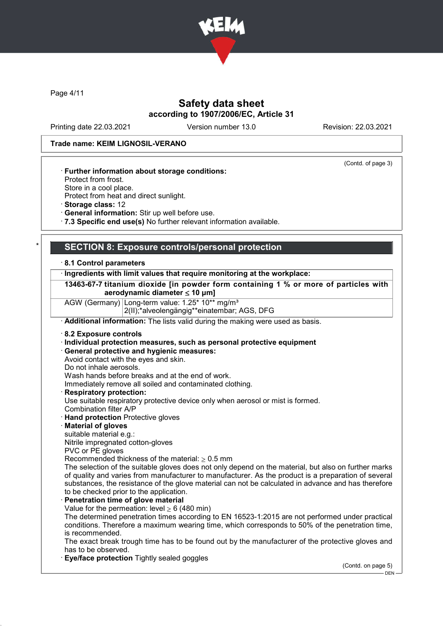

Page 4/11

### Safety data sheet according to 1907/2006/EC, Article 31

Printing date 22.03.2021 Version number 13.0 Revision: 22.03.2021

Protect from frost. Store in a cool place.

· Storage class: 12

(Contd. of page 3)

### Trade name: KEIM LIGNOSIL-VERANO

Protect from heat and direct sunlight.

· Further information about storage conditions:

· General information: Stir up well before use.

· 7.3 Specific end use(s) No further relevant information available.

### SECTION 8: Exposure controls/personal protection

### · 8.1 Control parameters

#### · Ingredients with limit values that require monitoring at the workplace:

### 13463-67-7 titanium dioxide [in powder form containing 1 % or more of particles with aerodynamic diameter ≤ 10 μm]

AGW (Germany) Long-term value: 1.25\* 10\*\* mg/m<sup>3</sup> 2(II);\*alveolengängig\*\*einatembar; AGS, DFG

· Additional information: The lists valid during the making were used as basis.

#### · 8.2 Exposure controls

- · Individual protection measures, such as personal protective equipment
- · General protective and hygienic measures:
- Avoid contact with the eyes and skin.
- Do not inhale aerosols.

Wash hands before breaks and at the end of work.

Immediately remove all soiled and contaminated clothing.

#### Respiratory protection:

Use suitable respiratory protective device only when aerosol or mist is formed. Combination filter A/P

· Hand protection Protective gloves

#### **Material of gloves**

suitable material e.g.:

Nitrile impregnated cotton-gloves

PVC or PE gloves

Recommended thickness of the material:  $> 0.5$  mm

The selection of the suitable gloves does not only depend on the material, but also on further marks of quality and varies from manufacturer to manufacturer. As the product is a preparation of several substances, the resistance of the glove material can not be calculated in advance and has therefore to be checked prior to the application.

### Penetration time of glove material

Value for the permeation: level  $> 6$  (480 min)

The determined penetration times according to EN 16523-1:2015 are not performed under practical conditions. Therefore a maximum wearing time, which corresponds to 50% of the penetration time, is recommended.

The exact break trough time has to be found out by the manufacturer of the protective gloves and has to be observed.

**Eye/face protection** Tightly sealed goggles

(Contd. on page 5)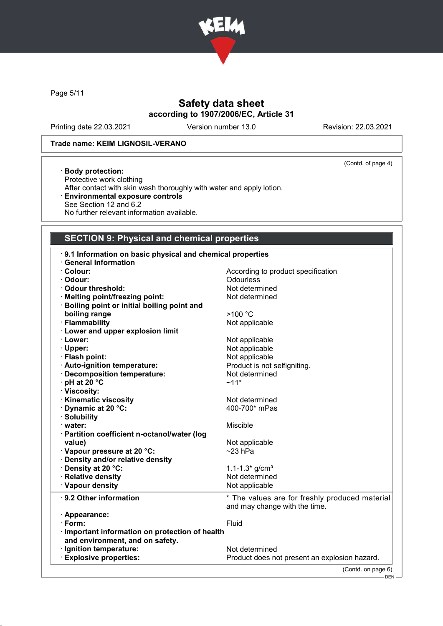

Page 5/11

# Safety data sheet according to 1907/2006/EC, Article 31

Printing date 22.03.2021 Version number 13.0 Revision: 22.03.2021

### Trade name: KEIM LIGNOSIL-VERANO

(Contd. of page 4)

· Body protection: Protective work clothing After contact with skin wash thoroughly with water and apply lotion. · Environmental exposure controls See Section 12 and 6.2 No further relevant information available.

# SECTION 9: Physical and chemical properties

| 9.1 Information on basic physical and chemical properties |                                                |  |
|-----------------------------------------------------------|------------------------------------------------|--|
| <b>General Information</b>                                |                                                |  |
| · Colour:                                                 | According to product specification             |  |
| · Odour:                                                  | <b>Odourless</b>                               |  |
| Odour threshold:                                          | Not determined                                 |  |
| · Melting point/freezing point:                           | Not determined                                 |  |
| · Boiling point or initial boiling point and              |                                                |  |
| boiling range                                             | >100 °C                                        |  |
| · Flammability                                            | Not applicable                                 |  |
| <b>Lower and upper explosion limit</b>                    |                                                |  |
| · Lower:                                                  | Not applicable                                 |  |
| · Upper:                                                  | Not applicable                                 |  |
| · Flash point:                                            | Not applicable                                 |  |
| · Auto-ignition temperature:                              | Product is not selfigniting.                   |  |
| Decomposition temperature:                                | Not determined                                 |  |
| · pH at 20 °C                                             | $~11*$                                         |  |
| · Viscosity:                                              |                                                |  |
| · Kinematic viscosity                                     | Not determined                                 |  |
| Dynamic at 20 °C:                                         | 400-700* mPas                                  |  |
| · Solubility                                              |                                                |  |
| · water:                                                  | Miscible                                       |  |
| · Partition coefficient n-octanol/water (log              |                                                |  |
| value)                                                    | Not applicable                                 |  |
| Vapour pressure at 20 °C:                                 | $~23$ hPa                                      |  |
| Density and/or relative density                           |                                                |  |
| Density at 20 °C:                                         | 1.1-1.3* $g/cm3$                               |  |
| · Relative density                                        | Not determined                                 |  |
| · Vapour density                                          | Not applicable                                 |  |
| $\cdot$ 9.2 Other information                             | * The values are for freshly produced material |  |
|                                                           | and may change with the time.                  |  |
| · Appearance:                                             |                                                |  |
| · Form:                                                   | Fluid                                          |  |
| · Important information on protection of health           |                                                |  |
| and environment, and on safety.                           |                                                |  |
| · Ignition temperature:                                   | Not determined                                 |  |
| <b>Explosive properties:</b>                              | Product does not present an explosion hazard.  |  |
|                                                           |                                                |  |
|                                                           | (Contd. on page 6)                             |  |

DEN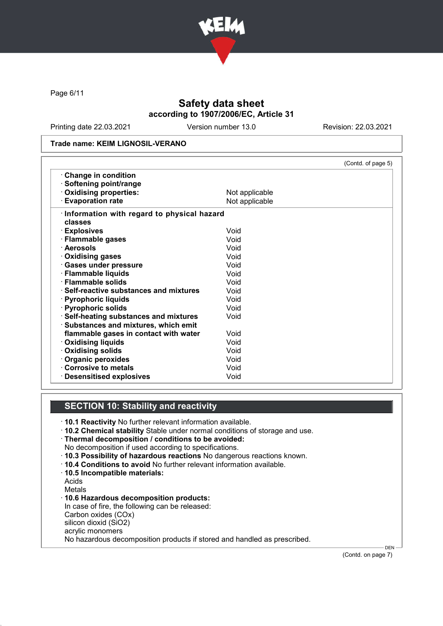

Page 6/11

# Safety data sheet according to 1907/2006/EC, Article 31

Printing date 22.03.2021 Version number 13.0 Revision: 22.03.2021

#### Trade name: KEIM LIGNOSIL-VERANO

|                                            | (Contd. of page 5) |
|--------------------------------------------|--------------------|
| Change in condition                        |                    |
| · Softening point/range                    |                    |
| Oxidising properties:                      | Not applicable     |
| <b>Evaporation rate</b>                    | Not applicable     |
| Information with regard to physical hazard |                    |
| classes                                    |                    |
| · Explosives                               | Void               |
| · Flammable gases                          | Void               |
| · Aerosols                                 | Void               |
| · Oxidising gases                          | Void               |
| · Gases under pressure                     | Void               |
| · Flammable liquids                        | Void               |
| · Flammable solids                         | Void               |
| Self-reactive substances and mixtures      | Void               |
| · Pyrophoric liquids                       | Void               |
| · Pyrophoric solids                        | Void               |
| · Self-heating substances and mixtures     | Void               |
| Substances and mixtures, which emit        |                    |
| flammable gases in contact with water      | Void               |
| <b>⋅ Oxidising liquids</b>                 | Void               |
| <b>Oxidising solids</b>                    | Void               |
| Organic peroxides                          | Void               |
| Corrosive to metals                        | Void               |
| · Desensitised explosives                  | Void               |

# SECTION 10: Stability and reactivity

- · 10.1 Reactivity No further relevant information available.
- · 10.2 Chemical stability Stable under normal conditions of storage and use.

· Thermal decomposition / conditions to be avoided:

- No decomposition if used according to specifications.
- · 10.3 Possibility of hazardous reactions No dangerous reactions known.
- · 10.4 Conditions to avoid No further relevant information available.
- · 10.5 Incompatible materials:

Acids

Metals · 10.6 Hazardous decomposition products: In case of fire, the following can be released: Carbon oxides (COx) silicon dioxid (SiO2) acrylic monomers No hazardous decomposition products if stored and handled as prescribed.

(Contd. on page 7)

DEN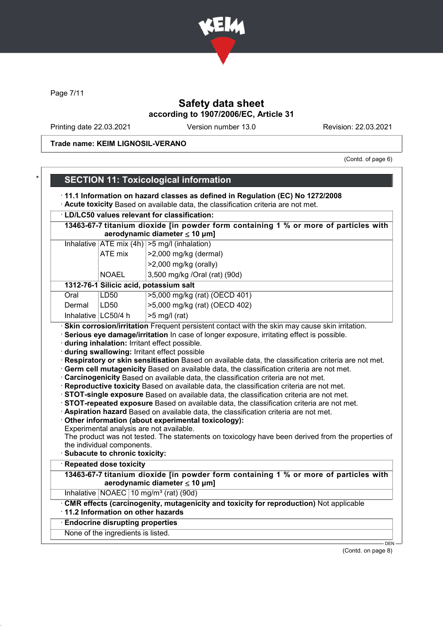

Page 7/11

# Safety data sheet according to 1907/2006/EC, Article 31

Printing date 22.03.2021 Version number 13.0 Revision: 22.03.2021

Trade name: KEIM LIGNOSIL-VERANO

(Contd. of page 6)

|                        |                                                                                                                                   | <b>SECTION 11: Toxicological information</b>                                                                                                                                                                                                                                                                                                                                                                                                                                                                                                                                                                                                                                                                                                                       |  |
|------------------------|-----------------------------------------------------------------------------------------------------------------------------------|--------------------------------------------------------------------------------------------------------------------------------------------------------------------------------------------------------------------------------------------------------------------------------------------------------------------------------------------------------------------------------------------------------------------------------------------------------------------------------------------------------------------------------------------------------------------------------------------------------------------------------------------------------------------------------------------------------------------------------------------------------------------|--|
|                        | 11.1 Information on hazard classes as defined in Regulation (EC) No 1272/2008                                                     |                                                                                                                                                                                                                                                                                                                                                                                                                                                                                                                                                                                                                                                                                                                                                                    |  |
|                        | Acute toxicity Based on available data, the classification criteria are not met.<br>· LD/LC50 values relevant for classification: |                                                                                                                                                                                                                                                                                                                                                                                                                                                                                                                                                                                                                                                                                                                                                                    |  |
|                        |                                                                                                                                   | 13463-67-7 titanium dioxide [in powder form containing 1 % or more of particles with                                                                                                                                                                                                                                                                                                                                                                                                                                                                                                                                                                                                                                                                               |  |
|                        | aerodynamic diameter $\leq 10$ µm]                                                                                                |                                                                                                                                                                                                                                                                                                                                                                                                                                                                                                                                                                                                                                                                                                                                                                    |  |
|                        |                                                                                                                                   | Inhalative $ATE \text{ mix } (4h)$ > 5 mg/l (inhalation)                                                                                                                                                                                                                                                                                                                                                                                                                                                                                                                                                                                                                                                                                                           |  |
|                        | ATE mix                                                                                                                           | >2,000 mg/kg (dermal)                                                                                                                                                                                                                                                                                                                                                                                                                                                                                                                                                                                                                                                                                                                                              |  |
|                        |                                                                                                                                   | >2,000 mg/kg (orally)                                                                                                                                                                                                                                                                                                                                                                                                                                                                                                                                                                                                                                                                                                                                              |  |
|                        | <b>NOAEL</b>                                                                                                                      | 3,500 mg/kg /Oral (rat) (90d)                                                                                                                                                                                                                                                                                                                                                                                                                                                                                                                                                                                                                                                                                                                                      |  |
|                        |                                                                                                                                   | 1312-76-1 Silicic acid, potassium salt                                                                                                                                                                                                                                                                                                                                                                                                                                                                                                                                                                                                                                                                                                                             |  |
| Oral                   | <b>LD50</b>                                                                                                                       | >5,000 mg/kg (rat) (OECD 401)                                                                                                                                                                                                                                                                                                                                                                                                                                                                                                                                                                                                                                                                                                                                      |  |
| Dermal                 | LD <sub>50</sub>                                                                                                                  | >5,000 mg/kg (rat) (OECD 402)                                                                                                                                                                                                                                                                                                                                                                                                                                                                                                                                                                                                                                                                                                                                      |  |
| Inhalative $ LC50/4$ h |                                                                                                                                   | $>5$ mg/l (rat)                                                                                                                                                                                                                                                                                                                                                                                                                                                                                                                                                                                                                                                                                                                                                    |  |
|                        | the individual components.<br>Subacute to chronic toxicity:                                                                       | · Germ cell mutagenicity Based on available data, the classification criteria are not met.<br>· Carcinogenicity Based on available data, the classification criteria are not met.<br>Reproductive toxicity Based on available data, the classification criteria are not met.<br>STOT-single exposure Based on available data, the classification criteria are not met.<br>STOT-repeated exposure Based on available data, the classification criteria are not met.<br>· Aspiration hazard Based on available data, the classification criteria are not met.<br>Other information (about experimental toxicology):<br>Experimental analysis are not available.<br>The product was not tested. The statements on toxicology have been derived from the properties of |  |
|                        | · Repeated dose toxicity                                                                                                          |                                                                                                                                                                                                                                                                                                                                                                                                                                                                                                                                                                                                                                                                                                                                                                    |  |
|                        |                                                                                                                                   | 13463-67-7 titanium dioxide [in powder form containing 1 % or more of particles with<br>aerodynamic diameter $\leq$ 10 µm]                                                                                                                                                                                                                                                                                                                                                                                                                                                                                                                                                                                                                                         |  |
|                        | Inhalative   NOAEC   10 mg/m <sup>3</sup> (rat) (90d)                                                                             |                                                                                                                                                                                                                                                                                                                                                                                                                                                                                                                                                                                                                                                                                                                                                                    |  |
|                        | 11.2 Information on other hazards                                                                                                 | · CMR effects (carcinogenity, mutagenicity and toxicity for reproduction) Not applicable                                                                                                                                                                                                                                                                                                                                                                                                                                                                                                                                                                                                                                                                           |  |
|                        | <b>Endocrine disrupting properties</b>                                                                                            |                                                                                                                                                                                                                                                                                                                                                                                                                                                                                                                                                                                                                                                                                                                                                                    |  |
|                        | None of the ingredients is listed.                                                                                                |                                                                                                                                                                                                                                                                                                                                                                                                                                                                                                                                                                                                                                                                                                                                                                    |  |
|                        |                                                                                                                                   | <b>DEN</b>                                                                                                                                                                                                                                                                                                                                                                                                                                                                                                                                                                                                                                                                                                                                                         |  |

(Contd. on page 8)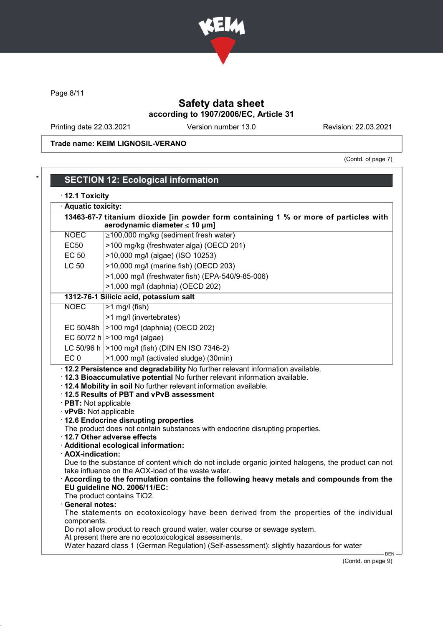

Page 8/11

# Safety data sheet according to 1907/2006/EC, Article 31

Printing date 22.03.2021 Version number 13.0 Revision: 22.03.2021

Trade name: KEIM LIGNOSIL-VERANO

(Contd. of page 7)

|                                                                                                                            | <b>SECTION 12: Ecological information</b>                                                                                                                                                                                                                                                                                                                                                                                                                                                       |
|----------------------------------------------------------------------------------------------------------------------------|-------------------------------------------------------------------------------------------------------------------------------------------------------------------------------------------------------------------------------------------------------------------------------------------------------------------------------------------------------------------------------------------------------------------------------------------------------------------------------------------------|
| $\cdot$ 12.1 Toxicity                                                                                                      |                                                                                                                                                                                                                                                                                                                                                                                                                                                                                                 |
| · Aquatic toxicity:                                                                                                        |                                                                                                                                                                                                                                                                                                                                                                                                                                                                                                 |
| 13463-67-7 titanium dioxide [in powder form containing 1 % or more of particles with<br>aerodynamic diameter $\leq 10$ µm] |                                                                                                                                                                                                                                                                                                                                                                                                                                                                                                 |
| <b>NOEC</b>                                                                                                                | $\geq$ 100,000 mg/kg (sediment fresh water)                                                                                                                                                                                                                                                                                                                                                                                                                                                     |
| <b>EC50</b>                                                                                                                | >100 mg/kg (freshwater alga) (OECD 201)                                                                                                                                                                                                                                                                                                                                                                                                                                                         |
| <b>EC 50</b>                                                                                                               | >10,000 mg/l (algae) (ISO 10253)                                                                                                                                                                                                                                                                                                                                                                                                                                                                |
| <b>LC 50</b>                                                                                                               | >10,000 mg/l (marine fish) (OECD 203)                                                                                                                                                                                                                                                                                                                                                                                                                                                           |
|                                                                                                                            | >1,000 mg/l (freshwater fish) (EPA-540/9-85-006)                                                                                                                                                                                                                                                                                                                                                                                                                                                |
|                                                                                                                            | >1,000 mg/l (daphnia) (OECD 202)                                                                                                                                                                                                                                                                                                                                                                                                                                                                |
|                                                                                                                            | 1312-76-1 Silicic acid, potassium salt                                                                                                                                                                                                                                                                                                                                                                                                                                                          |
| <b>NOEC</b>                                                                                                                | $>1$ mg/l (fish)                                                                                                                                                                                                                                                                                                                                                                                                                                                                                |
|                                                                                                                            | >1 mg/l (invertebrates)                                                                                                                                                                                                                                                                                                                                                                                                                                                                         |
|                                                                                                                            | EC 50/48h   > 100 mg/l (daphnia) (OECD 202)                                                                                                                                                                                                                                                                                                                                                                                                                                                     |
|                                                                                                                            | EC 50/72 h $ >$ 100 mg/l (algae)                                                                                                                                                                                                                                                                                                                                                                                                                                                                |
|                                                                                                                            | LC 50/96 h   > 100 mg/l (fish) (DIN EN ISO 7346-2)                                                                                                                                                                                                                                                                                                                                                                                                                                              |
| EC <sub>0</sub>                                                                                                            | >1,000 mg/l (activated sludge) (30min)                                                                                                                                                                                                                                                                                                                                                                                                                                                          |
| · PBT: Not applicable<br>· vPvB: Not applicable<br>· AOX-indication:                                                       | 12.5 Results of PBT and vPvB assessment<br>· 12.6 Endocrine disrupting properties<br>The product does not contain substances with endocrine disrupting properties.<br>12.7 Other adverse effects<br>· Additional ecological information:<br>Due to the substance of content which do not include organic jointed halogens, the product can not<br>take influence on the AOX-load of the waste water.<br>According to the formulation contains the following heavy metals and compounds from the |
| <b>General notes:</b><br>components.                                                                                       | EU guideline NO. 2006/11/EC:<br>The product contains TiO2.<br>The statements on ecotoxicology have been derived from the properties of the individual<br>Do not allow product to reach ground water, water course or sewage system.                                                                                                                                                                                                                                                             |

(Contd. on page 9)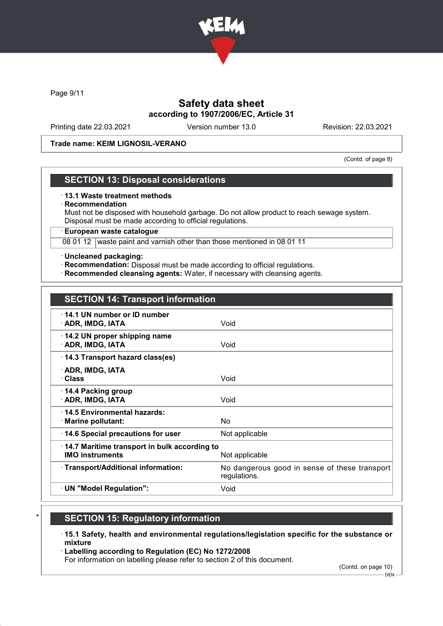

Page 9/11

# Safety data sheet according to 1907/2006/EC, Article 31

Printing date 22.03.2021 Version number 13.0 Revision: 22.03.2021

### Trade name: KEIM LIGNOSIL-VERANO

(Contd. of page 8)

### SECTION 13: Disposal considerations

#### · 13.1 Waste treatment methods

· Recommendation

Must not be disposed with household garbage. Do not allow product to reach sewage system. Disposal must be made according to official regulations.

· European waste catalogue

08 01 12 waste paint and varnish other than those mentioned in 08 01 11

### · Uncleaned packaging:

- · Recommendation: Disposal must be made according to official regulations.
- · Recommended cleansing agents: Water, if necessary with cleansing agents.

| 14.1 UN number or ID number<br>· ADR, IMDG, IATA                               | Void                                                          |
|--------------------------------------------------------------------------------|---------------------------------------------------------------|
| 14.2 UN proper shipping name<br>· ADR, IMDG, IATA                              | Void                                                          |
| 14.3 Transport hazard class(es)                                                |                                                               |
| · ADR, IMDG, IATA<br>· Class                                                   | Void                                                          |
| ⋅ 14.4 Packing group<br>· ADR, IMDG, IATA                                      | Void                                                          |
| ⋅14.5 Environmental hazards:<br>· Marine pollutant:                            | No.                                                           |
| 14.6 Special precautions for user                                              | Not applicable                                                |
| $\cdot$ 14.7 Maritime transport in bulk according to<br><b>IMO instruments</b> | Not applicable                                                |
| · Transport/Additional information:                                            | No dangerous good in sense of these transport<br>regulations. |
| · UN "Model Regulation":                                                       | Void                                                          |

- **SECTION 15: Regulatory information**
- · 15.1 Safety, health and environmental regulations/legislation specific for the substance or mixture
- · Labelling according to Regulation (EC) No 1272/2008

For information on labelling please refer to section 2 of this document.

(Contd. on page 10)

DEN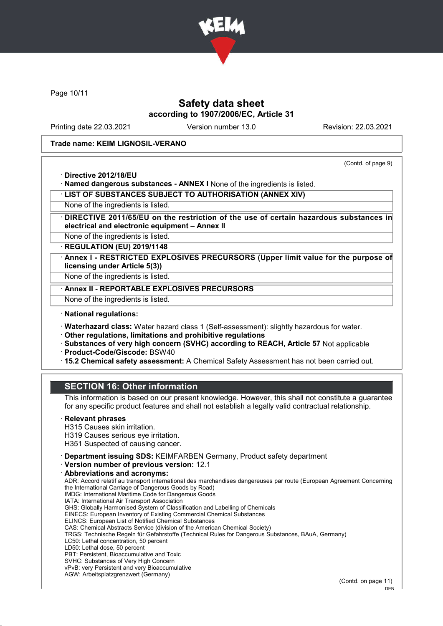

Page 10/11

### Safety data sheet according to 1907/2006/EC, Article 31

Printing date 22.03.2021 Version number 13.0 Revision: 22.03.2021

(Contd. of page 9)

#### Trade name: KEIM LIGNOSIL-VERANO

· Directive 2012/18/EU

· Named dangerous substances - ANNEX I None of the ingredients is listed.

· LIST OF SUBSTANCES SUBJECT TO AUTHORISATION (ANNEX XIV)

None of the ingredients is listed.

· DIRECTIVE 2011/65/EU on the restriction of the use of certain hazardous substances in electrical and electronic equipment – Annex II

None of the ingredients is listed.

· REGULATION (EU) 2019/1148

Annex I - RESTRICTED EXPLOSIVES PRECURSORS (Upper limit value for the purpose of licensing under Article 5(3))

None of the ingredients is listed.

Annex II - REPORTABLE EXPLOSIVES PRECURSORS

None of the ingredients is listed.

· National regulations:

· Waterhazard class: Water hazard class 1 (Self-assessment): slightly hazardous for water.

· Other regulations, limitations and prohibitive regulations

· Substances of very high concern (SVHC) according to REACH, Article 57 Not applicable

· Product-Code/Giscode: BSW40

· 15.2 Chemical safety assessment: A Chemical Safety Assessment has not been carried out.

# SECTION 16: Other information

This information is based on our present knowledge. However, this shall not constitute a guarantee for any specific product features and shall not establish a legally valid contractual relationship.

#### **Relevant phrases**

H315 Causes skin irritation.

H319 Causes serious eye irritation.

H351 Suspected of causing cancer.

· Department issuing SDS: KEIMFARBEN Germany, Product safety department

· Version number of previous version: 12.1

· Abbreviations and acronyms: ADR: Accord relatif au transport international des marchandises dangereuses par route (European Agreement Concerning the International Carriage of Dangerous Goods by Road) IMDG: International Maritime Code for Dangerous Goods IATA: International Air Transport Association GHS: Globally Harmonised System of Classification and Labelling of Chemicals EINECS: European Inventory of Existing Commercial Chemical Substances ELINCS: European List of Notified Chemical Substances CAS: Chemical Abstracts Service (division of the American Chemical Society) TRGS: Technische Regeln für Gefahrstoffe (Technical Rules for Dangerous Substances, BAuA, Germany) LC50: Lethal concentration, 50 percent LD50: Lethal dose, 50 percent PBT: Persistent, Bioaccumulative and Toxic SVHC: Substances of Very High Concern vPvB: very Persistent and very Bioaccumulative AGW: Arbeitsplatzgrenzwert (Germany)

(Contd. on page 11)